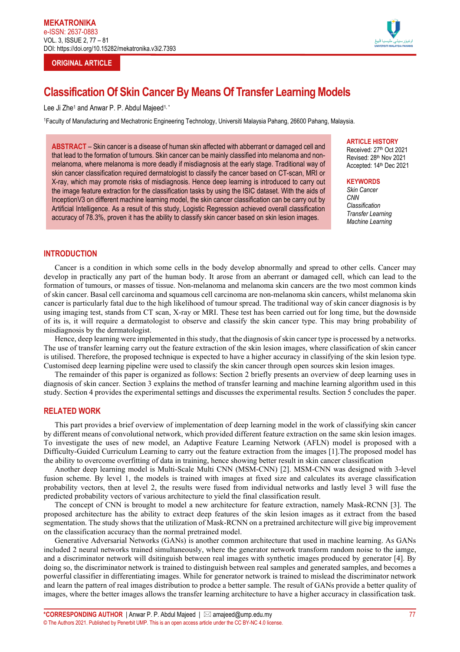# **ORIGINAL ARTICLE**



# **Classification Of Skin Cancer By Means Of Transfer Learning Models**

Lee Ji Zhe<sup>1</sup> and Anwar P. P. Abdul Majeed<sup>1,\*</sup>

1Faculty of Manufacturing and Mechatronic Engineering Technology, Universiti Malaysia Pahang, 26600 Pahang, Malaysia.

**ABSTRACT** – Skin cancer is a disease of human skin affected with abberrant or damaged cell and that lead to the formation of tumours. Skin cancer can be mainly classified into melanoma and nonmelanoma, where melanoma is more deadly if misdiagnosis at the early stage. Traditional way of skin cancer classification required dermatologist to classify the cancer based on CT-scan, MRI or X-ray, which may promote risks of misdiagnosis. Hence deep learning is introduced to carry out the image feature extraction for the classification tasks by using the ISIC dataset. With the aids of InceptionV3 on different machine learning model, the skin cancer classification can be carry out by Artificial Intelligence. As a result of this study, Logistic Regression achieved overall classification accuracy of 78.3%, proven it has the ability to classify skin cancer based on skin lesion images.

#### **ARTICLE HISTORY**

Received: 27<sup>th</sup> Oct 2021 Revised: 28th Nov 2021 Accepted: 14th Dec 2021

## **KEYWORDS**

*Skin Cancer CNN Classification Transfer Learning Machine Learning*

## **INTRODUCTION**

Cancer is a condition in which some cells in the body develop abnormally and spread to other cells. Cancer may develop in practically any part of the human body. It arose from an aberrant or damaged cell, which can lead to the formation of tumours, or masses of tissue. Non-melanoma and melanoma skin cancers are the two most common kinds of skin cancer. Basal cell carcinoma and squamous cell carcinoma are non-melanoma skin cancers, whilst melanoma skin cancer is particularly fatal due to the high likelihood of tumour spread. The traditional way of skin cancer diagnosis is by using imaging test, stands from CT scan, X-ray or MRI. These test has been carried out for long time, but the downside of its is, it will require a dermatologist to observe and classify the skin cancer type. This may bring probability of misdiagnosis by the dermatologist.

Hence, deep learning were implemented in this study, that the diagnosis of skin cancer type is processed by a networks. The use of transfer learning carry out the feature extraction of the skin lesion images, where classification of skin cancer is utilised. Therefore, the proposed technique is expected to have a higher accuracy in classifying of the skin lesion type. Customised deep learning pipeline were used to classify the skin cancer through open sources skin lesion images.

The remainder of this paper is organized as follows: Section 2 briefly presents an overview of deep learning uses in diagnosis of skin cancer. Section 3 explains the method of transfer learning and machine learning algorithm used in this study. Section 4 provides the experimental settings and discusses the experimental results. Section 5 concludes the paper.

# **RELATED WORK**

This part provides a brief overview of implementation of deep learning model in the work of classifying skin cancer by different means of convolutional network, which provided different feature extraction on the same skin lesion images. To investigate the uses of new model, an Adaptive Feature Learning Network (AFLN) model is proposed with a Difficulty-Guided Curriculum Learning to carry out the feature extraction from the images [1].The proposed model has the ability to overcome overfitting of data in training, hence showing better result in skin cancer classification

Another deep learning model is Multi-Scale Multi CNN (MSM-CNN) [2]. MSM-CNN was designed with 3-level fusion scheme. By level 1, the models is trained with images at fixed size and calculates its average classification probability vectors, then at level 2, the results were fused from individual networks and lastly level 3 will fuse the predicted probability vectors of various architecture to yield the final classification result.

The concept of CNN is brought to model a new architecture for feature extraction, namely Mask-RCNN [3]. The proposed architecture has the ability to extract deep features of the skin lesion images as it extract from the based segmentation. The study shows that the utilization of Mask-RCNN on a pretrained architecture will give big improvement on the classification accuracy than the normal pretrained model.

Generative Adversarial Networks (GANs) is another common architecture that used in machine learning. As GANs included 2 neural networks trained simultaneously, where the generator network transform random noise to the iamge, and a discriminator network will dsitinguish between real images with synthetic images produced by generator [4]. By doing so, the discriminator network is trained to distinguish between real samples and generated samples, and becomes a powerful classifier in differentiating images. While for generator network is trained to mislead the discriminator network and learn the pattern of real images distribution to prodce a better sample. The result of GANs provide a better quality of images, where the better images allows the transfer learning architecture to have a higher accuracy in classification task.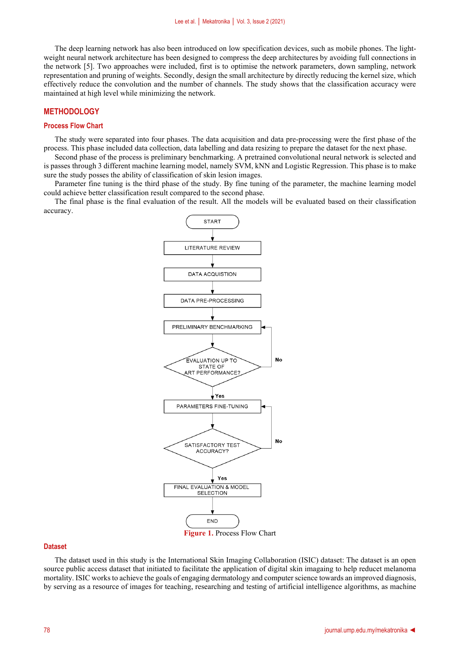The deep learning network has also been introduced on low specification devices, such as mobile phones. The lightweight neural network architecture has been designed to compress the deep architectures by avoiding full connections in the network [5]. Two approaches were included, first is to optimise the network parameters, down sampling, network representation and pruning of weights. Secondly, design the small architecture by directly reducing the kernel size, which effectively reduce the convolution and the number of channels. The study shows that the classification accuracy were maintained at high level while minimizing the network.

# **METHODOLOGY**

### **Process Flow Chart**

The study were separated into four phases. The data acquisition and data pre-processing were the first phase of the process. This phase included data collection, data labelling and data resizing to prepare the dataset for the next phase.

Second phase of the process is preliminary benchmarking. A pretrained convolutional neural network is selected and is passes through 3 different machine learning model, namely SVM, kNN and Logistic Regression. This phase is to make sure the study posses the ability of classification of skin lesion images.

Parameter fine tuning is the third phase of the study. By fine tuning of the parameter, the machine learning model could achieve better classification result compared to the second phase.

The final phase is the final evaluation of the result. All the models will be evaluated based on their classification accuracy.



#### **Dataset**

The dataset used in this study is the International Skin Imaging Collaboration (ISIC) dataset: The dataset is an open source public access dataset that initiated to facilitate the application of digital skin imagaing to help reducet melanoma mortality. ISIC works to achieve the goals of engaging dermatology and computer science towards an improved diagnosis, by serving as a resource of images for teaching, researching and testing of artificial intelligence algorithms, as machine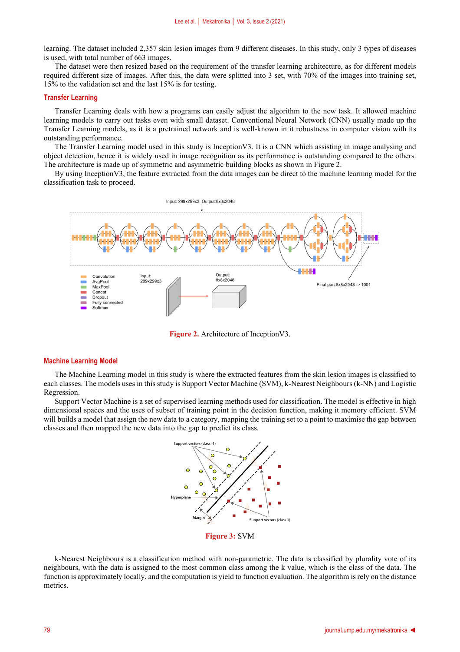learning. The dataset included 2,357 skin lesion images from 9 different diseases. In this study, only 3 types of diseases is used, with total number of 663 images.

The dataset were then resized based on the requirement of the transfer learning architecture, as for different models required different size of images. After this, the data were splitted into 3 set, with 70% of the images into training set, 15% to the validation set and the last 15% is for testing.

#### **Transfer Learning**

Transfer Learning deals with how a programs can easily adjust the algorithm to the new task. It allowed machine learning models to carry out tasks even with small dataset. Conventional Neural Network (CNN) usually made up the Transfer Learning models, as it is a pretrained network and is well-known in it robustness in computer vision with its outstanding performance.

The Transfer Learning model used in this study is InceptionV3. It is a CNN which assisting in image analysing and object detection, hence it is widely used in image recognition as its performance is outstanding compared to the others. The architecture is made up of symmetric and asymmetric building blocks as shown in Figure 2.

By using InceptionV3, the feature extracted from the data images can be direct to the machine learning model for the classification task to proceed.



**Figure 2.** Architecture of InceptionV3.

## **Machine Learning Model**

The Machine Learning model in this study is where the extracted features from the skin lesion images is classified to each classes. The models uses in this study is Support Vector Machine (SVM), k-Nearest Neighbours (k-NN) and Logistic Regression.

Support Vector Machine is a set of supervised learning methods used for classification. The model is effective in high dimensional spaces and the uses of subset of training point in the decision function, making it memory efficient. SVM will builds a model that assign the new data to a category, mapping the training set to a point to maximise the gap between classes and then mapped the new data into the gap to predict its class.



k-Nearest Neighbours is a classification method with non-parametric. The data is classified by plurality vote of its neighbours, with the data is assigned to the most common class among the k value, which is the class of the data. The function is approximately locally, and the computation is yield to function evaluation. The algorithm is rely on the distance metrics.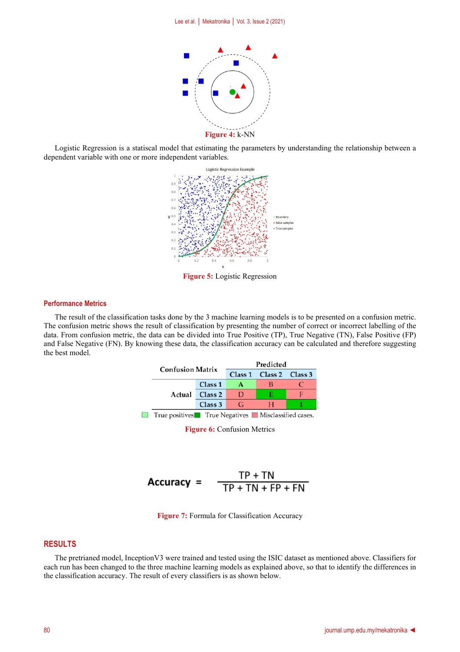

Logistic Regression is a statiscal model that estimating the parameters by understanding the relationship between a dependent variable with one or more independent variables.



**Figure 5:** Logistic Regression

# **Performance Metrics**

The result of the classification tasks done by the 3 machine learning models is to be presented on a confusion metric. The confusion metric shows the result of classification by presenting the number of correct or incorrect labelling of the data. From confusion metric, the data can be divided into True Positive (TP), True Negative (TN), False Positive (FP) and False Negative (FN). By knowing these data, the classification accuracy can be calculated and therefore suggesting the best model.

| <b>Confusion Matrix</b> |                    | Predicted |                         |  |
|-------------------------|--------------------|-----------|-------------------------|--|
|                         |                    |           | Class 1 Class 2 Class 3 |  |
|                         | Class <sub>1</sub> |           |                         |  |
|                         | Actual Class 2     |           | н                       |  |
|                         | Class 3            | G         |                         |  |

True positives True Negatives Misclassified cases.

**Figure 6: Confusion Metrics** 

$$
Accuracy = \frac{TP + TN}{TP + TN + FP + FN}
$$

Figure 7: Formula for Classification Accuracy

# **RESULTS**

The pretrianed model, InceptionV3 were trained and tested using the ISIC dataset as mentioned above. Classifiers for each run has been changed to the three machine learning models as explained above, so that to identify the differences in the classification accuracy. The result of every classifiers is as shown below.